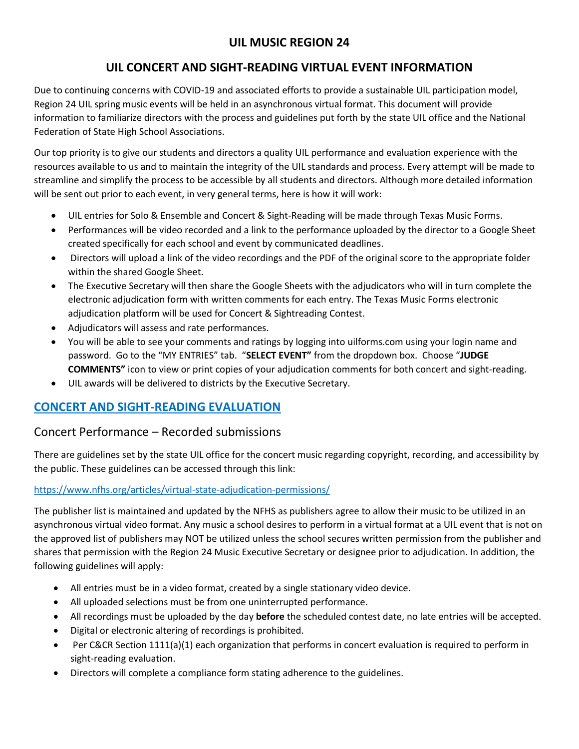# **UIL MUSIC REGION 24**

## **UIL CONCERT AND SIGHT-READING VIRTUAL EVENT INFORMATION**

Due to continuing concerns with COVID-19 and associated efforts to provide a sustainable UIL participation model, Region 24 UIL spring music events will be held in an asynchronous virtual format. This document will provide information to familiarize directors with the process and guidelines put forth by the state UIL office and the National Federation of State High School Associations.

Our top priority is to give our students and directors a quality UIL performance and evaluation experience with the resources available to us and to maintain the integrity of the UIL standards and process. Every attempt will be made to streamline and simplify the process to be accessible by all students and directors. Although more detailed information will be sent out prior to each event, in very general terms, here is how it will work:

- UIL entries for Solo & Ensemble and Concert & Sight-Reading will be made through Texas Music Forms.
- Performances will be video recorded and a link to the performance uploaded by the director to a Google Sheet created specifically for each school and event by communicated deadlines.
- Directors will upload a link of the video recordings and the PDF of the original score to the appropriate folder within the shared Google Sheet.
- The Executive Secretary will then share the Google Sheets with the adjudicators who will in turn complete the electronic adjudication form with written comments for each entry. The Texas Music Forms electronic adjudication platform will be used for Concert & Sightreading Contest.
- Adjudicators will assess and rate performances.
- You will be able to see your comments and ratings by logging into uilforms.com using your login name and password. Go to the "MY ENTRIES" tab. "**SELECT EVENT"** from the dropdown box. Choose "**JUDGE COMMENTS"** icon to view or print copies of your adjudication comments for both concert and sight-reading.
- UIL awards will be delivered to districts by the Executive Secretary.

# **CONCERT AND SIGHT-READING EVALUATION**

### Concert Performance – Recorded submissions

There are guidelines set by the state UIL office for the concert music regarding copyright, recording, and accessibility by the public. These guidelines can be accessed through this link:

#### <https://www.nfhs.org/articles/virtual-state-adjudication-permissions/>

The publisher list is maintained and updated by the NFHS as publishers agree to allow their music to be utilized in an asynchronous virtual video format. Any music a school desires to perform in a virtual format at a UIL event that is not on the approved list of publishers may NOT be utilized unless the school secures written permission from the publisher and shares that permission with the Region 24 Music Executive Secretary or designee prior to adjudication. In addition, the following guidelines will apply:

- All entries must be in a video format, created by a single stationary video device.
- All uploaded selections must be from one uninterrupted performance.
- All recordings must be uploaded by the day **before** the scheduled contest date, no late entries will be accepted.
- Digital or electronic altering of recordings is prohibited.
- Per C&CR Section 1111(a)(1) each organization that performs in concert evaluation is required to perform in sight-reading evaluation.
- Directors will complete a compliance form stating adherence to the guidelines.